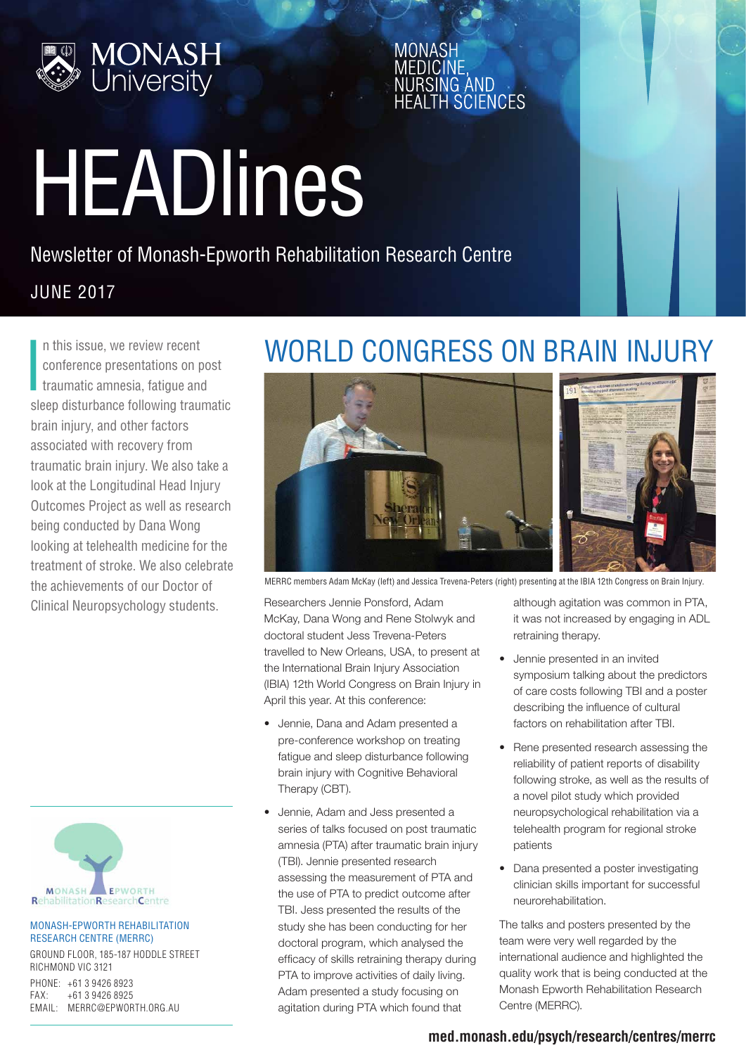

MONASE **SCIENCES** 

# HEADlines

#### Newsletter of Monash-Epworth Rehabilitation Research Centre

#### JUNE 2017

**I** n this issue, we review recent conference presentations on post traumatic amnesia, fatigue and sleep disturbance following traumatic brain injury, and other factors associated with recovery from traumatic brain injury. We also take a look at the Longitudinal Head Injury Outcomes Project as well as research being conducted by Dana Wong looking at telehealth medicine for the treatment of stroke. We also celebrate the achievements of our Doctor of Clinical Neuropsychology students.



#### MONASH-EPWORTH REHABILITATION RESEARCH CENTRE (MERRC)

GROUND FLOOR, 185-187 HODDLE STREET RICHMOND VIC 3121 PHONE: +61 3 9426 8923 FAX: +61 3 9426 8925 EMAIL: MERRC@EPWORTH.ORG.AU

# WORLD CONGRESS ON BRAIN INJURY



MERRC members Adam McKay (left) and Jessica Trevena-Peters (right) presenting at the IBIA 12th Congress on Brain Injury.

Researchers Jennie Ponsford, Adam McKay, Dana Wong and Rene Stolwyk and doctoral student Jess Trevena-Peters travelled to New Orleans, USA, to present at the International Brain Injury Association (IBIA) 12th World Congress on Brain Injury in April this year. At this conference:

- Jennie, Dana and Adam presented a pre-conference workshop on treating fatigue and sleep disturbance following brain injury with Cognitive Behavioral Therapy (CBT).
- Jennie, Adam and Jess presented a series of talks focused on post traumatic amnesia (PTA) after traumatic brain injury (TBI). Jennie presented research assessing the measurement of PTA and the use of PTA to predict outcome after TBI. Jess presented the results of the study she has been conducting for her doctoral program, which analysed the efficacy of skills retraining therapy during PTA to improve activities of daily living. Adam presented a study focusing on agitation during PTA which found that

although agitation was common in PTA, it was not increased by engaging in ADL retraining therapy.

- Jennie presented in an invited symposium talking about the predictors of care costs following TBI and a poster describing the influence of cultural factors on rehabilitation after TBI.
- Rene presented research assessing the reliability of patient reports of disability following stroke, as well as the results of a novel pilot study which provided neuropsychological rehabilitation via a telehealth program for regional stroke patients
- Dana presented a poster investigating clinician skills important for successful neurorehabilitation.

The talks and posters presented by the team were very well regarded by the international audience and highlighted the quality work that is being conducted at the Monash Epworth Rehabilitation Research Centre (MERRC).